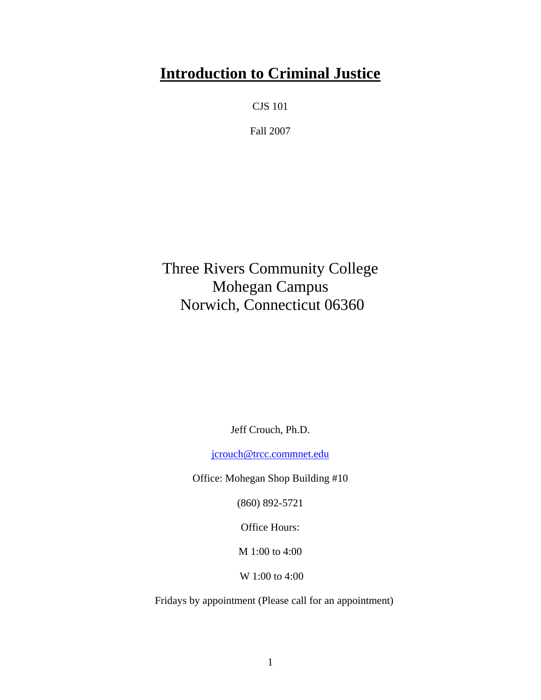# **Introduction to Criminal Justice**

CJS 101

Fall 2007

Three Rivers Community College Mohegan Campus Norwich, Connecticut 06360

Jeff Crouch, Ph.D.

[jcrouch@trcc.commnet.edu](mailto:jcrouch@trcc.commnet.edu)

Office: Mohegan Shop Building #10

(860) 892-5721

Office Hours:

M 1:00 to 4:00

W 1:00 to 4:00

Fridays by appointment (Please call for an appointment)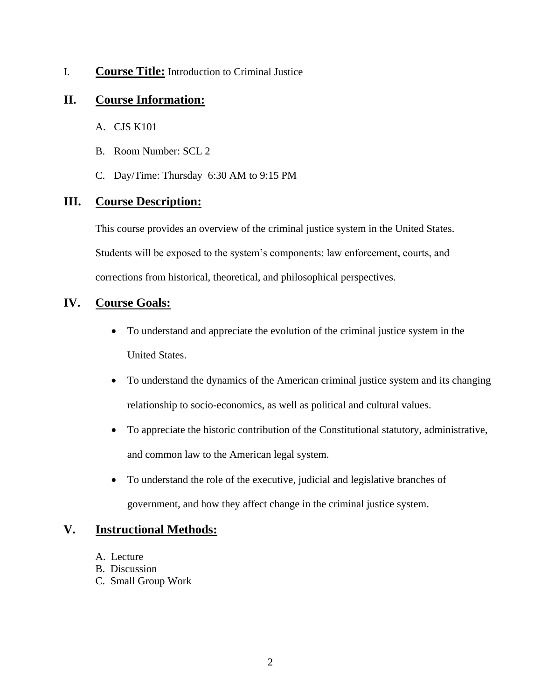#### I. **Course Title:** Introduction to Criminal Justice

# **II. Course Information:**

- A. CJS K101
- B. Room Number: SCL 2
- C. Day/Time: Thursday 6:30 AM to 9:15 PM

# **III. Course Description:**

This course provides an overview of the criminal justice system in the United States. Students will be exposed to the system's components: law enforcement, courts, and corrections from historical, theoretical, and philosophical perspectives.

# **IV. Course Goals:**

- To understand and appreciate the evolution of the criminal justice system in the United States.
- To understand the dynamics of the American criminal justice system and its changing relationship to socio-economics, as well as political and cultural values.
- To appreciate the historic contribution of the Constitutional statutory, administrative, and common law to the American legal system.
- To understand the role of the executive, judicial and legislative branches of government, and how they affect change in the criminal justice system.

# **V. Instructional Methods:**

- A. Lecture
- B. Discussion
- C. Small Group Work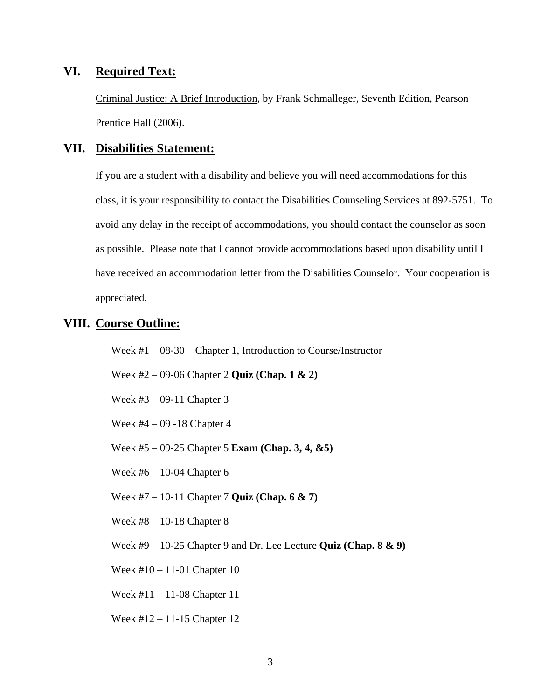#### **VI. Required Text:**

Criminal Justice: A Brief Introduction, by Frank Schmalleger, Seventh Edition, Pearson Prentice Hall (2006).

#### **VII. Disabilities Statement:**

If you are a student with a disability and believe you will need accommodations for this class, it is your responsibility to contact the Disabilities Counseling Services at 892-5751. To avoid any delay in the receipt of accommodations, you should contact the counselor as soon as possible. Please note that I cannot provide accommodations based upon disability until I have received an accommodation letter from the Disabilities Counselor. Your cooperation is appreciated.

### **VIII. Course Outline:**

Week #1 – 08-30 – Chapter 1, Introduction to Course/Instructor

Week #2 – 09-06 Chapter 2 **Quiz (Chap. 1 & 2)**

Week #3 – 09-11 Chapter 3

Week #4 – 09 -18 Chapter 4

Week #5 – 09-25 Chapter 5 **Exam (Chap. 3, 4, &5)**

Week #6 – 10-04 Chapter 6

Week #7 – 10-11 Chapter 7 **Quiz (Chap. 6 & 7)**

Week #8 – 10-18 Chapter 8

Week #9 – 10-25 Chapter 9 and Dr. Lee Lecture **Quiz (Chap. 8 & 9)**

Week #10 – 11-01 Chapter 10

Week #11 – 11-08 Chapter 11

Week #12 – 11-15 Chapter 12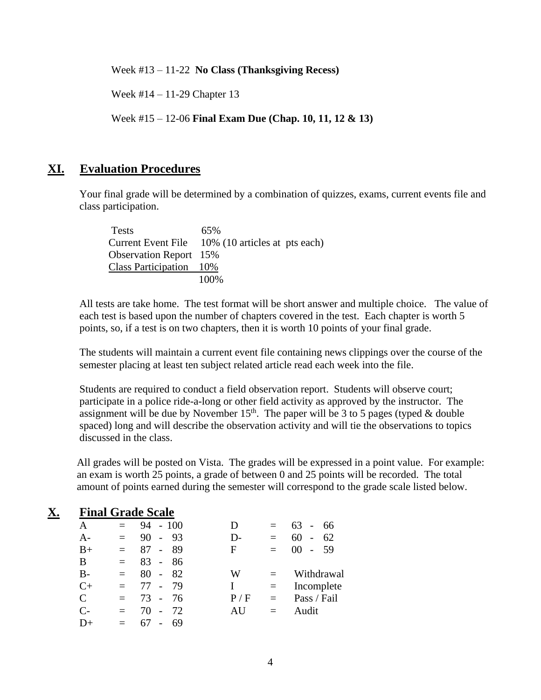Week #13 – 11-22 **No Class (Thanksgiving Recess)**

Week #14 – 11-29 Chapter 13

Week #15 – 12-06 **Final Exam Due (Chap. 10, 11, 12 & 13)**

#### **XI. Evaluation Procedures**

Your final grade will be determined by a combination of quizzes, exams, current events file and class participation.

| <b>Tests</b>                  | 65%                                              |
|-------------------------------|--------------------------------------------------|
|                               | Current Event File 10% (10 articles at pts each) |
| <b>Observation Report</b> 15% |                                                  |
| Class Participation 10%       |                                                  |
|                               | 100\%                                            |

All tests are take home. The test format will be short answer and multiple choice. The value of each test is based upon the number of chapters covered in the test. Each chapter is worth 5 points, so, if a test is on two chapters, then it is worth 10 points of your final grade.

The students will maintain a current event file containing news clippings over the course of the semester placing at least ten subject related article read each week into the file.

Students are required to conduct a field observation report. Students will observe court; participate in a police ride-a-long or other field activity as approved by the instructor. The assignment will be due by November  $15<sup>th</sup>$ . The paper will be 3 to 5 pages (typed & double spaced) long and will describe the observation activity and will tie the observations to topics discussed in the class.

All grades will be posted on Vista. The grades will be expressed in a point value. For example: an exam is worth 25 points, a grade of between 0 and 25 points will be recorded. The total amount of points earned during the semester will correspond to the grade scale listed below.

#### **X. Final Grade Scale** A  $= 94 - 100$ A-  $= 90 - 93$  $B+ = 87 - 89$ B  $= 83 - 86$  $B - = 80 - 82$  $C_{+}$  = 77 - 79  $C = 73 - 76$  $C- = 70 - 72$  $D+ = 67 - 69$ D  $= 63 - 66$ D-  $= 60 - 62$  $F = 00 - 59$  $W =$  Withdrawal  $I = Incomplete$  $P / F =$  Pass / Fail  $AU =$  Audit